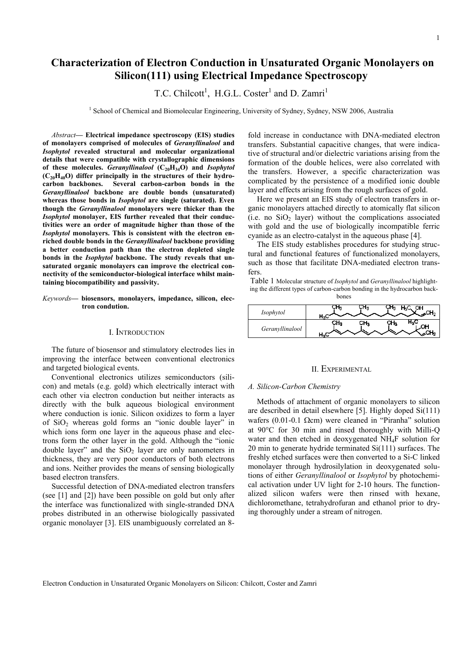# Characterization of Electron Conduction in Unsaturated Organic Monolayers on Silicon(111) using Electrical Impedance Spectroscopy

T.C. Chilcott<sup>1</sup>, H.G.L. Coster<sup>1</sup> and D. Zamri<sup>1</sup>

<sup>1</sup> School of Chemical and Biomolecular Engineering, University of Sydney, Sydney, NSW 2006, Australia

Abstract— Electrical impedance spectroscopy (EIS) studies of monolayers comprised of molecules of Geranyllinalool and Isophytol revealed structural and molecular organizational details that were compatible with crystallographic dimensions of these molecules. Geranyllinalool  $(C_{20}H_{34}O)$  and Isophytol  $(C_{20}H_{40}O)$  differ principally in the structures of their hydrocarbon backbones. Several carbon-carbon bonds in the Geranyllinalool backbone are double bonds (unsaturated) whereas those bonds in Isophytol are single (saturated). Even though the Geranyllinalool monolayers were thicker than the Isophytol monolayer, EIS further revealed that their conductivities were an order of magnitude higher than those of the Isophytol monolayers. This is consistent with the electron enriched double bonds in the Geranyllinalool backbone providing a better conduction path than the electron depleted single bonds in the Isophytol backbone. The study reveals that unsaturated organic monolayers can improve the electrical connectivity of the semiconductor-biological interface whilst maintaining biocompatibility and passivity.

Keywords— biosensors, monolayers, impedance, silicon, electron condution.

# I. INTRODUCTION

The future of biosensor and stimulatory electrodes lies in improving the interface between conventional electronics and targeted biological events.

Conventional electronics utilizes semiconductors (silicon) and metals (e.g. gold) which electrically interact with each other via electron conduction but neither interacts as directly with the bulk aqueous biological environment where conduction is ionic. Silicon oxidizes to form a layer of  $SiO<sub>2</sub>$  whereas gold forms an "ionic double layer" in which ions form one layer in the aqueous phase and electrons form the other layer in the gold. Although the "ionic double layer" and the  $SiO<sub>2</sub>$  layer are only nanometers in thickness, they are very poor conductors of both electrons and ions. Neither provides the means of sensing biologically based electron transfers.

Successful detection of DNA-mediated electron transfers (see [1] and [2]) have been possible on gold but only after the interface was functionalized with single-stranded DNA probes distributed in an otherwise biologically passivated organic monolayer [3]. EIS unambiguously correlated an 8fold increase in conductance with DNA-mediated electron transfers. Substantial capacitive changes, that were indicative of structural and/or dielectric variations arising from the formation of the double helices, were also correlated with the transfers. However, a specific characterization was complicated by the persistence of a modified ionic double layer and effects arising from the rough surfaces of gold.

Here we present an EIS study of electron transfers in organic monolayers attached directly to atomically flat silicon  $(i.e. no SiO<sub>2</sub> layer) without the complications associated$ with gold and the use of biologically incompatible ferric cyanide as an electro-catalyst in the aqueous phase [4].

The EIS study establishes procedures for studying structural and functional features of functionalized monolayers, such as those that facilitate DNA-mediated electron transfers.

Table 1 Molecular structure of Isophytol and Geranyllinalool highlighting the different types of carbon-carbon bonding in the hydrocarbon backbones

| <i>Isophytol</i> | പ<br>$\sim$ H <sub>2</sub> |
|------------------|----------------------------|
| Geranyllinalool  | ն ե<br>сн,<br>εΠλ<br>פר    |

## II. EXPERIMENTAL

## A. Silicon-Carbon Chemistry

Methods of attachment of organic monolayers to silicon are described in detail elsewhere [5]. Highly doped Si(111) wafers  $(0.01-0.1 \Omega$ cm) were cleaned in "Piranha" solution at 90°C for 30 min and rinsed thoroughly with Milli-Q water and then etched in deoxygenated NH4F solution for 20 min to generate hydride terminated Si(111) surfaces. The freshly etched surfaces were then converted to a Si-C linked monolayer through hydrosilylation in deoxygenated solutions of either Geranyllinalool or Isophytol by photochemical activation under UV light for 2-10 hours. The functionalized silicon wafers were then rinsed with hexane, dichloromethane, tetrahydrofuran and ethanol prior to drying thoroughly under a stream of nitrogen.

Electron Conduction in Unsaturated Organic Monolayers on Silicon: Chilcott, Coster and Zamri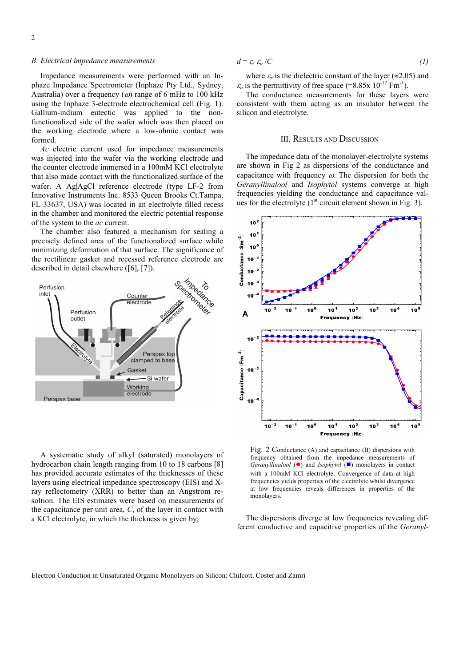#### B. Electrical impedance measurements

Impedance measurements were performed with an Inphaze Impedance Spectrometer (Inphaze Pty Ltd., Sydney, Australia) over a frequency ( $\omega$ ) range of 6 mHz to 100 kHz using the Inphaze 3-electrode electrochemical cell (Fig. 1). Gallium-indium eutectic was applied to the nonfunctionalized side of the wafer which was then placed on the working electrode where a low-ohmic contact was formed.

Ac electric current used for impedance measurements was injected into the wafer via the working electrode and the counter electrode immersed in a 100mM KCl electrolyte that also made contact with the functionalized surface of the wafer. A Ag|AgCl reference electrode (type LF-2 from Innovative Instruments Inc. 8533 Queen Brooks Ct.Tampa, FL 33637, USA) was located in an electrolyte filled recess in the chamber and monitored the electric potential response of the system to the ac current.

The chamber also featured a mechanism for sealing a precisely defined area of the functionalized surface while minimizing deformation of that surface. The significance of the rectilinear gasket and recessed reference electrode are described in detail elsewhere ([6], [7]).



A systematic study of alkyl (saturated) monolayers of hydrocarbon chain length ranging from 10 to 18 carbons [8] has provided accurate estimates of the thicknesses of these layers using electrical impedance spectroscopy (EIS) and Xray reflectometry (XRR) to better than an Angstrom resoltion. The EIS estimates were based on measurements of the capacitance per unit area,  $C$ , of the layer in contact with a KCl electrolyte, in which the thickness is given by;

$$
d = \varepsilon_r \, \varepsilon_o \, / C \tag{1}
$$

where  $\varepsilon_r$  is the dielectric constant of the layer ( $\approx$ 2.05) and  $\varepsilon_o$  is the permittivity of free space (=8.85x 10<sup>-12</sup> Fm<sup>-1</sup>).

The conductance measurements for these layers were consistent with them acting as an insulator between the silicon and electrolyte.

### III. RESULTS AND DISCUSSION

The impedance data of the monolayer-electrolyte systems are shown in Fig 2 as dispersions of the conductance and capacitance with frequency  $\omega$ . The dispersion for both the Geranyllinalool and Isophytol systems converge at high frequencies yielding the conductance and capacitance values for the electrolyte  $(1<sup>st</sup> circuit element shown in Fig. 3).$ 



Fig. 2 Conductance (A) and capacitance (B) dispersions with frequency obtained from the impedance measurements of Geranyllinalool  $(•)$  and Isophytol  $(•)$  monolayers in contact with a 100mM KCl electrolyte. Convergence of data at high frequencies yields properties of the electrolyte whilst divergence at low frequencies reveals differences in properties of the monolayers.

The dispersions diverge at low frequencies revealing different conductive and capacitive properties of the Geranyl-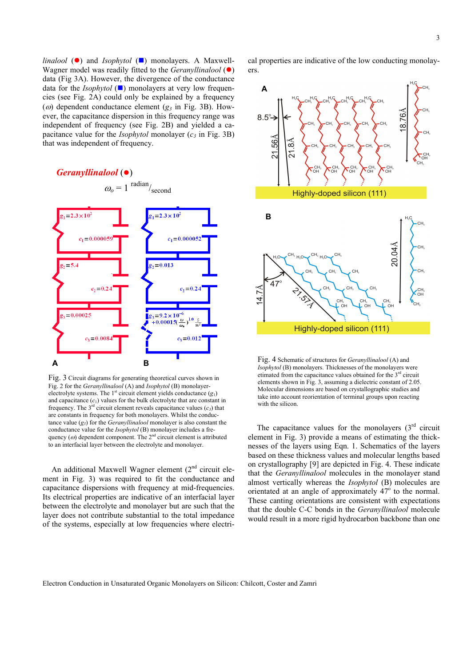$\binom{[n]}{[n]}$  and *Isophytol*  $(\blacksquare)$  monolayers. A Maxwell-Wagner model was readily fitted to the *Geranyllinalool*  $\left( \bullet \right)$ data (Fig 3A). However, the divergence of the conductance data for the *Isophytol*  $(\Box)$  monolayers at very low frequencies (see Fig. 2A) could only be explained by a frequency ( $\omega$ ) dependent conductance element ( $g_3$  in Fig. 3B). However, the capacitance dispersion in this frequency range was independent of frequency (see Fig. 2B) and yielded a capacitance value for the *Isophytol* monolayer  $(c_3$  in Fig. 3B) that was independent of frequency.

# $$

$$
\omega_o = 1 \text{ radian}/\text{second}
$$



Fig. 3 Circuit diagrams for generating theoretical curves shown in Fig. 2 for the Geranyllinalool (A) and Isophytol (B) monolayerelectrolyte systems. The 1<sup>st</sup> circuit element yields conductance  $(g_1)$ and capacitance  $(c_1)$  values for the bulk electrolyte that are constant in frequency. The 3<sup>rd</sup> circuit element reveals capacitance values  $(c_3)$  that are constants in frequency for both monolayers. Whilst the conductance value  $(g_3)$  for the *Geranyllinalool* monolayer is also constant the conductance value for the Isophytol (B) monolayer includes a frequency  $(\omega)$  dependent component. The  $2<sup>nd</sup>$  circuit element is attributed to an interfacial layer between the electrolyte and monolayer.

An additional Maxwell Wagner element  $(2<sup>nd</sup>$  circuit element in Fig. 3) was required to fit the conductance and capacitance dispersions with frequency at mid-frequencies. Its electrical properties are indicative of an interfacial layer between the electrolyte and monolayer but are such that the layer does not contribute substantial to the total impedance of the systems, especially at low frequencies where electrical properties are indicative of the low conducting monolayers.



Fig. 4 Schematic of structures for Geranyllinalool (A) and Isophytol (B) monolayers. Thicknesses of the monolayers were etimated from the capacitance values obtained for the  $3<sup>rd</sup>$  circuit elements shown in Fig. 3, assuming a dielectric constant of 2.05. Molecular dimensions are based on crystallographic studies and take into account reorientation of terminal groups upon reacting with the silicon.

The capacitance values for the monolayers  $(3<sup>rd</sup>$  circuit element in Fig. 3) provide a means of estimating the thicknesses of the layers using Eqn. 1. Schematics of the layers based on these thickness values and molecular lengths based on crystallography [9] are depicted in Fig. 4. These indicate that the Geranyllinalool molecules in the monolayer stand almost vertically whereas the Isophytol (B) molecules are orientated at an angle of approximately  $47^\circ$  to the normal. These canting orientations are consistent with expectations that the double C-C bonds in the Geranyllinalool molecule would result in a more rigid hydrocarbon backbone than one

Electron Conduction in Unsaturated Organic Monolayers on Silicon: Chilcott, Coster and Zamri